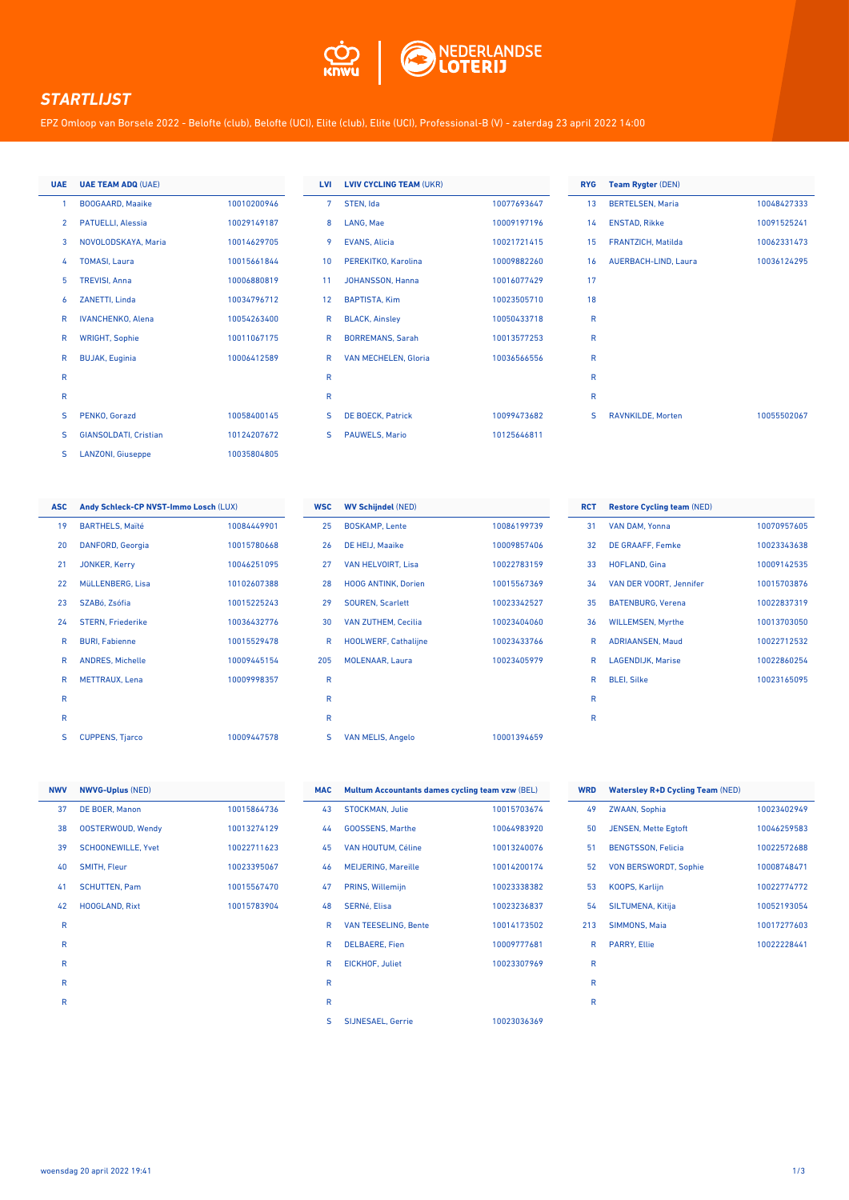

## *STARTLIJST*

EPZ Omloop van Borsele 2022 - Belofte (club), Belofte (UCI), Elite (club), Elite (UCI), Professional-B (V) - zaterdag 23 april 2022 14:00

| <b>UAE</b>     | <b>UAE TEAM ADQ (UAE)</b>    |             |
|----------------|------------------------------|-------------|
| 1              | <b>BOOGAARD, Maaike</b>      | 10010200946 |
| $\overline{2}$ | <b>PATUELLI, Alessia</b>     | 10029149187 |
| 3              | NOVOLODSKAYA, Maria          | 10014629705 |
| 4              | <b>TOMASI.</b> Laura         | 10015661844 |
| 5              | <b>TREVISI, Anna</b>         | 10006880819 |
| 6              | ZANETTI, Linda               | 10034796712 |
| R              | <b>IVANCHENKO, Alena</b>     | 10054263400 |
| R              | <b>WRIGHT, Sophie</b>        | 10011067175 |
| R              | <b>BUJAK, Euginia</b>        | 10006412589 |
| R              |                              |             |
| R              |                              |             |
| S              | PENKO, Gorazd                | 10058400145 |
| S              | <b>GIANSOLDATI, Cristian</b> | 10124207672 |
| S              | <b>LANZONI, Giuseppe</b>     | 10035804805 |

| <b>LVI</b> | <b>LVIV CYCLING TEAM (UKR)</b> |             | <b>RYG</b> | Te |
|------------|--------------------------------|-------------|------------|----|
| 7          | STEN, Ida                      | 10077693647 | 13         | BE |
| 8          | LANG, Mae                      | 10009197196 | 14         | E١ |
| 9          | <b>EVANS, Alicia</b>           | 10021721415 | 15         | FF |
| 10         | PEREKITKO, Karolina            | 10009882260 | 16         | Al |
| 11         | JOHANSSON, Hanna               | 10016077429 | 17         |    |
| 12         | <b>BAPTISTA, Kim</b>           | 10023505710 | 18         |    |
| R          | <b>BLACK, Ainsley</b>          | 10050433718 | R          |    |
| R          | <b>BORREMANS, Sarah</b>        | 10013577253 | R          |    |
| R          | VAN MECHELEN, Gloria           | 10036566556 | R          |    |
| R          |                                |             | R          |    |
| R          |                                |             | R          |    |
| S          | <b>DE BOECK, Patrick</b>       | 10099473682 | S          | R/ |
| S          | <b>PAUWELS, Mario</b>          | 10125646811 |            |    |
|            |                                |             |            |    |

| <b>RYG</b>      | <b>Team Rygter (DEN)</b> |             |
|-----------------|--------------------------|-------------|
| 13              | <b>BERTELSEN, Maria</b>  | 10048427333 |
| 14              | <b>ENSTAD, Rikke</b>     | 10091525241 |
| 15 <sup>7</sup> | FRANTZICH, Matilda       | 10062331473 |
| 16 <sup>1</sup> | AUERBACH-LIND, Laura     | 10036124295 |
| 17              |                          |             |
| 18              |                          |             |
| R               |                          |             |
| R               |                          |             |
| $\mathsf{R}$    |                          |             |
| $\mathsf{R}$    |                          |             |
| R               |                          |             |
| S               | <b>RAVNKILDE, Morten</b> | 10055502067 |
|                 |                          |             |

| <b>ASC</b> | Andy Schleck-CP NVST-Immo Losch (LUX) |             |
|------------|---------------------------------------|-------------|
| 19         | <b>BARTHELS, Maïté</b>                | 10084449901 |
| 20         | DANFORD, Georgia                      | 10015780668 |
| 21         | <b>JONKER, Kerry</b>                  | 10046251095 |
| 22         | MüLLENBERG, Lisa                      | 10102607388 |
| 23         | SZABó, Zsófia                         | 10015225243 |
| 24         | <b>STERN, Friederike</b>              | 10036432776 |
| R          | <b>BURI. Fabienne</b>                 | 10015529478 |
| R          | <b>ANDRES, Michelle</b>               | 10009445154 |
| R          | <b>METTRAUX.</b> Lena                 | 10009998357 |
| R          |                                       |             |
| R          |                                       |             |
| S          | <b>CUPPENS, Tjarco</b>                | 10009447578 |

| <b>WSC</b> | <b>WV Schijndel (NED)</b>   |             |
|------------|-----------------------------|-------------|
| 25         | <b>BOSKAMP, Lente</b>       | 10086199739 |
| 26         | DE HEIJ, Maaike             | 10009857406 |
| 27         | VAN HELVOIRT, Lisa          | 10022783159 |
| 28         | <b>HOOG ANTINK, Dorien</b>  | 10015567369 |
| 29         | <b>SOUREN. Scarlett</b>     | 10023342527 |
| 30         | <b>VAN ZUTHEM, Cecilia</b>  | 10023404060 |
| R          | <b>HOOLWERF, Cathalijne</b> | 10023433766 |
| 205        | <b>MOLENAAR, Laura</b>      | 10023405979 |
| R          |                             |             |
| R          |                             |             |
| R          |                             |             |
| s          | <b>VAN MELIS, Angelo</b>    | 10001394659 |

| <b>RCT</b> | <b>Restore Cycling team (NED)</b> |             |
|------------|-----------------------------------|-------------|
| 31         | VAN DAM, Yonna                    | 10070957605 |
| 32         | <b>DE GRAAFF, Femke</b>           | 10023343638 |
| 33         | <b>HOFLAND, Gina</b>              | 10009142535 |
| 34         | <b>VAN DER VOORT, Jennifer</b>    | 10015703876 |
| 35         | <b>BATENBURG, Verena</b>          | 10022837319 |
| 36         | <b>WILLEMSEN, Myrthe</b>          | 10013703050 |
| R          | <b>ADRIAANSEN, Maud</b>           | 10022712532 |
| R          | <b>LAGENDIJK. Marise</b>          | 10022860254 |
| R          | <b>BLEI, Silke</b>                | 10023165095 |
| R          |                                   |             |
| R          |                                   |             |

| <b>NWV</b> | <b>NWVG-Uplus (NED)</b>   |             |
|------------|---------------------------|-------------|
| 37         | DE BOER, Manon            | 10015864736 |
| 38         | <b>OOSTERWOUD, Wendy</b>  | 10013274129 |
| 39         | <b>SCHOONEWILLE, Yvet</b> | 10022711623 |
| 40         | <b>SMITH, Fleur</b>       | 10023395067 |
| 41         | <b>SCHUTTEN, Pam</b>      | 10015567470 |
| 42         | <b>HOOGLAND, Rixt</b>     | 10015783904 |
| R          |                           |             |
| R          |                           |             |
| R          |                           |             |
| R          |                           |             |
| R          |                           |             |

| <b>MAC</b> | Multum Accountants dames cycling team vzw (BEL) |             |
|------------|-------------------------------------------------|-------------|
| 43         | <b>STOCKMAN. Julie</b>                          | 10015703674 |
| 44         | <b>GOOSSENS, Marthe</b>                         | 10064983920 |
| 45         | <b>VAN HOUTUM, Céline</b>                       | 10013240076 |
| 46         | <b>MEIJERING, Mareille</b>                      | 10014200174 |
| 47         | <b>PRINS, Willemijn</b>                         | 10023338382 |
| 48         | SERNé, Elisa                                    | 10023236837 |
| R          | <b>VAN TEESELING, Bente</b>                     | 10014173502 |
| R          | <b>DELBAERE, Fien</b>                           | 10009777681 |
| R          | <b>EICKHOF, Juliet</b>                          | 10023307969 |
| R          |                                                 |             |
| R          |                                                 |             |
| s          | <b>SIJNESAEL, Gerrie</b>                        | 10023036369 |

| <b>WRD</b> | <b>Watersley R+D Cycling Team (NED)</b> |             |
|------------|-----------------------------------------|-------------|
| 49         | <b>ZWAAN, Sophia</b>                    | 10023402949 |
| 50         | <b>JENSEN, Mette Egtoft</b>             | 10046259583 |
| 51         | <b>BENGTSSON, Felicia</b>               | 10022572688 |
| 52         | <b>VON BERSWORDT, Sophie</b>            | 10008748471 |
| 53         | KOOPS, Karlijn                          | 10022774772 |
| 54         | SILTUMENA, Kitija                       | 10052193054 |
| 213        | <b>SIMMONS, Maia</b>                    | 10017277603 |
| R          | <b>PARRY, Ellie</b>                     | 10022228441 |
| R          |                                         |             |
| R          |                                         |             |
| R          |                                         |             |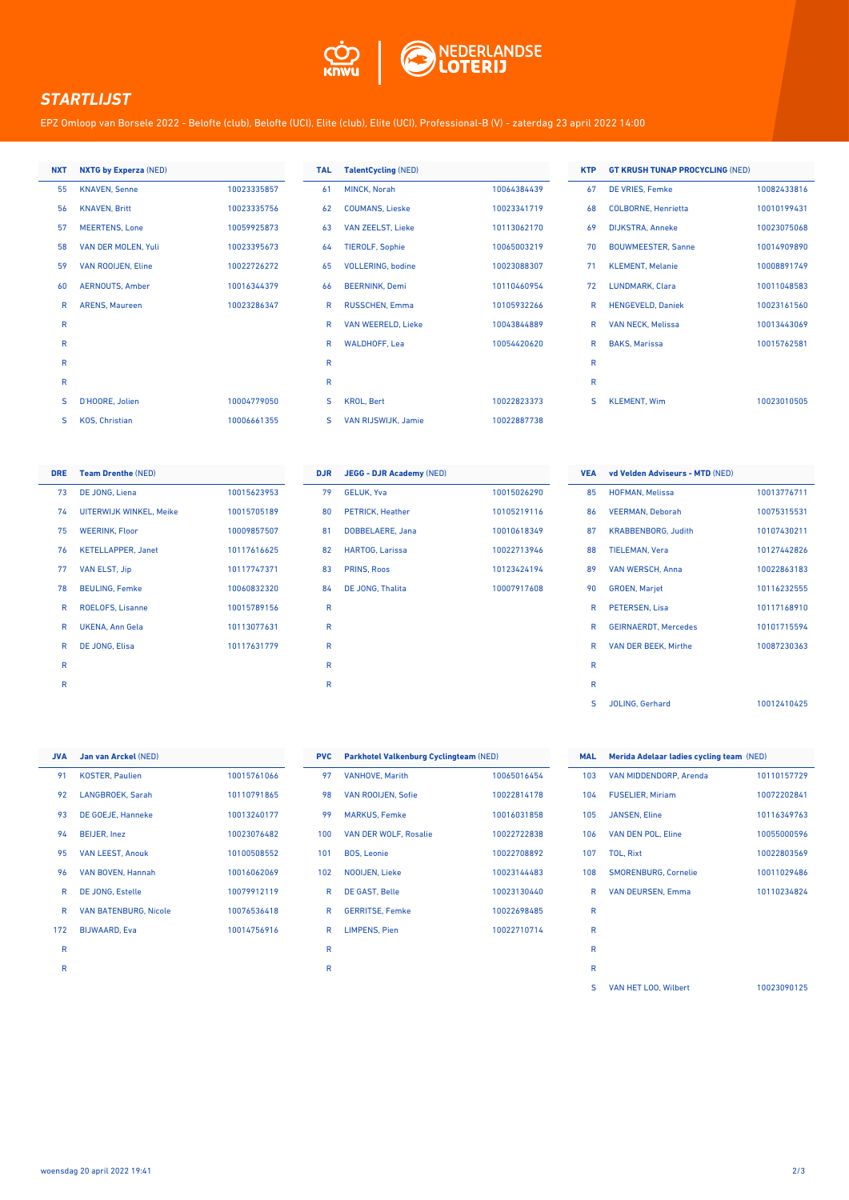

## *STARTLIJST*

EPZ Omloop van Borsele 2022 - Belofte (club), Belofte (UCI), Elite (club), Elite (UCI), Professional-B (V) - zaterdag 23 april 2022 14:00

| <b>NXT</b> | <b>NXTG by Experza (NED)</b> |             |
|------------|------------------------------|-------------|
| 55         | <b>KNAVEN, Senne</b>         | 10023335857 |
| 56         | <b>KNAVEN, Britt</b>         | 10023335756 |
| 57         | <b>MEERTENS, Lone</b>        | 10059925873 |
| 58         | <b>VAN DER MOLEN, Yuli</b>   | 10023395673 |
| 59         | <b>VAN ROOIJEN, Eline</b>    | 10022726272 |
| 60         | <b>AERNOUTS, Amber</b>       | 10016344379 |
| R          | <b>ARENS, Maureen</b>        | 10023286347 |
| R          |                              |             |
| R          |                              |             |
| R          |                              |             |
| R          |                              |             |
| S          | D'HOORE, Jolien              | 10004779050 |
| S          | <b>KOS, Christian</b>        | 10006661355 |

| <b>TAL</b> | <b>TalentCycling (NED)</b> |             |
|------------|----------------------------|-------------|
| 61         | MINCK, Norah               | 10064384439 |
| 62         | <b>COUMANS, Lieske</b>     | 10023341719 |
| 63         | <b>VAN ZEELST, Lieke</b>   | 10113062170 |
| 64         | <b>TIEROLF, Sophie</b>     | 10065003219 |
| 65         | <b>VOLLERING, bodine</b>   | 10023088307 |
| 66         | <b>BEERNINK, Demi</b>      | 10110460954 |
| R          | RUSSCHEN, Emma             | 10105932266 |
| R          | <b>VAN WEERELD, Lieke</b>  | 10043844889 |
| R          | <b>WALDHOFF, Lea</b>       | 10054420620 |
| R          |                            |             |
| R          |                            |             |
| S          | <b>KROL, Bert</b>          | 10022823373 |
| S          | <b>VAN RIJSWIJK, Jamie</b> | 10022887738 |

| <b>KTP</b>   | <b>GT KRUSH TUNAP PROCYCLING (NED)</b> |             |
|--------------|----------------------------------------|-------------|
| 67           | DE VRIES, Femke                        | 10082433816 |
| 68           | <b>COLBORNE, Henrietta</b>             | 10010199431 |
| 69           | <b>DIJKSTRA, Anneke</b>                | 10023075068 |
| 70           | <b>BOUWMEESTER, Sanne</b>              | 10014909890 |
| 71           | <b>KLEMENT, Melanie</b>                | 10008891749 |
| 72           | LUNDMARK, Clara                        | 10011048583 |
| R            | <b>HENGEVELD, Daniek</b>               | 10023161560 |
| R            | <b>VAN NECK, Melissa</b>               | 10013443069 |
| R            | <b>BAKS, Marissa</b>                   | 10015762581 |
| $\mathsf{R}$ |                                        |             |
| $\mathsf{R}$ |                                        |             |
| S            | <b>KLEMENT, Wim</b>                    | 10023010505 |
|              |                                        |             |

| <b>DRE</b> | <b>Team Drenthe (NED)</b> |             |
|------------|---------------------------|-------------|
| 73         | DE JONG, Liena            | 10015623953 |
| 74         | UITERWIJK WINKEL, Meike   | 10015705189 |
| 75         | <b>WEERINK, Floor</b>     | 10009857507 |
| 76         | <b>KETELLAPPER, Janet</b> | 10117616625 |
| 77         | <b>VAN ELST, Jip</b>      | 10117747371 |
| 78         | <b>BEULING, Femke</b>     | 10060832320 |
| R          | <b>ROELOFS. Lisanne</b>   | 10015789156 |
| R          | <b>UKENA, Ann Gela</b>    | 10113077631 |
| R          | DE JONG, Elisa            | 10117631779 |
| R          |                           |             |
| R          |                           |             |

| <b>DJR</b> | <b>JEGG - DJR Academy (NED)</b> |             |
|------------|---------------------------------|-------------|
| 79         | <b>GELUK, Yva</b>               | 10015026290 |
| 80         | <b>PETRICK, Heather</b>         | 10105219116 |
| 81         | DOBBELAERE, Jana                | 10010618349 |
| 82         | <b>HARTOG, Larissa</b>          | 10022713946 |
| 83         | <b>PRINS, Roos</b>              | 10123424194 |
| 84         | DE JONG, Thalita                | 10007917608 |
| R          |                                 |             |
| R          |                                 |             |
| R          |                                 |             |
| R          |                                 |             |
| R          |                                 |             |
|            |                                 |             |

| <b>VEA</b>   | vd Velden Adviseurs - MTD (NED) |             |
|--------------|---------------------------------|-------------|
| 85           | <b>HOFMAN, Melissa</b>          | 10013776711 |
| 86           | <b>VEERMAN, Deborah</b>         | 10075315531 |
| 87           | <b>KRABBENBORG, Judith</b>      | 10107430211 |
| 88           | <b>TIELEMAN, Vera</b>           | 10127442826 |
| 89           | <b>VAN WERSCH, Anna</b>         | 10022863183 |
| 90           | <b>GROEN, Marjet</b>            | 10116232555 |
| R            | PETERSEN, Lisa                  | 10117168910 |
| R            | <b>GEIRNAERDT, Mercedes</b>     | 10101715594 |
| R            | <b>VAN DER BEEK, Mirthe</b>     | 10087230363 |
| $\mathsf{R}$ |                                 |             |
| $\mathsf{R}$ |                                 |             |
| S            | <b>JOLING, Gerhard</b>          | 10012410425 |
|              |                                 |             |

| <b>JVA</b> | Jan van Arckel (NED)         |             |
|------------|------------------------------|-------------|
| 91         | <b>KOSTER, Paulien</b>       | 10015761066 |
| 92         | LANGBROEK, Sarah             | 10110791865 |
| 93         | <b>DE GOEJE, Hanneke</b>     | 10013240177 |
| 94         | <b>BEIJER, Inez</b>          | 10023076482 |
| 95         | <b>VAN LEEST, Anouk</b>      | 10100508552 |
| 96         | VAN BOVEN, Hannah            | 10016062069 |
| R          | <b>DE JONG, Estelle</b>      | 10079912119 |
| R          | <b>VAN BATENBURG, Nicole</b> | 10076536418 |
| 172        | <b>BIJWAARD, Eva</b>         | 10014756916 |
| R          |                              |             |
| R          |                              |             |

| <b>PVC</b> | Parkhotel Valkenburg Cyclingteam (NED) |             |
|------------|----------------------------------------|-------------|
| 97         | <b>VANHOVE, Marith</b>                 | 10065016454 |
| 98         | <b>VAN ROOIJEN, Sofie</b>              | 10022814178 |
| 99         | <b>MARKUS, Femke</b>                   | 10016031858 |
| 100        | <b>VAN DER WOLF, Rosalie</b>           | 10022722838 |
| 101        | <b>BOS. Leonie</b>                     | 10022708892 |
| 102        | <b>NOOIJEN, Lieke</b>                  | 10023144483 |
| R          | <b>DE GAST, Belle</b>                  | 10023130440 |
| R          | <b>GERRITSE, Femke</b>                 | 10022698485 |
| R          | <b>LIMPENS, Pien</b>                   | 10022710714 |
| R          |                                        |             |
| R          |                                        |             |

| <b>MAL</b>   | Merida Adelaar ladies cycling team (NED) |             |
|--------------|------------------------------------------|-------------|
| 103          | VAN MIDDENDORP, Arenda                   | 10110157729 |
| 104          | <b>FUSELIER, Miriam</b>                  | 10072202841 |
| 105          | <b>JANSEN, Eline</b>                     | 10116349763 |
| 106          | <b>VAN DEN POL, Eline</b>                | 10055000596 |
| 107          | <b>TOL, Rixt</b>                         | 10022803569 |
| 108          | <b>SMORENBURG, Cornelie</b>              | 10011029486 |
| R            | <b>VAN DEURSEN, Emma</b>                 | 10110234824 |
| $\mathsf{R}$ |                                          |             |
| R            |                                          |             |
| R            |                                          |             |
| R            |                                          |             |
| S            | VAN HET LOO. Wilbert                     | 10023090125 |